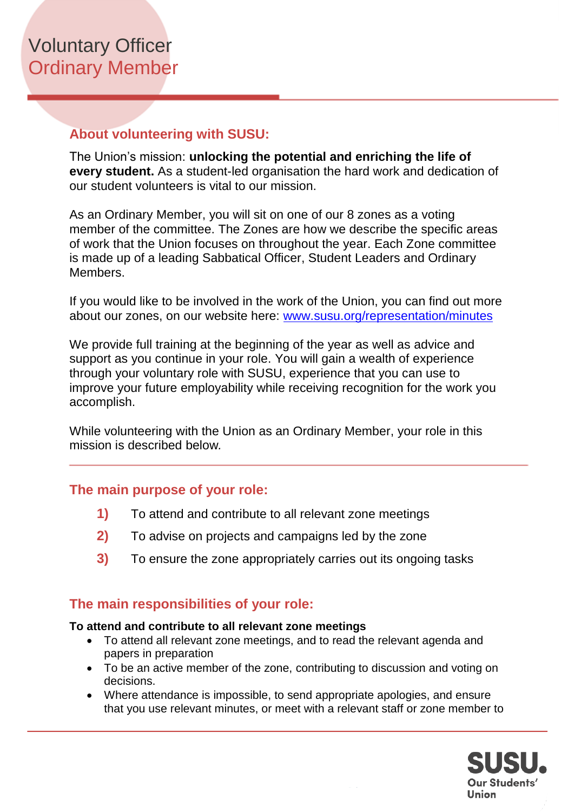## **About volunteering with SUSU:**

The Union's mission: **unlocking the potential and enriching the life of every student.** As a student-led organisation the hard work and dedication of our student volunteers is vital to our mission.

As an Ordinary Member, you will sit on one of our 8 zones as a voting member of the committee. The Zones are how we describe the specific areas of work that the Union focuses on throughout the year. Each Zone committee is made up of a leading Sabbatical Officer, Student Leaders and Ordinary Members.

If you would like to be involved in the work of the Union, you can find out more about our zones, on our website here: [www.susu.org/representation/minutes](http://www.susu.org/representation/minutes)

We provide full training at the beginning of the year as well as advice and support as you continue in your role. You will gain a wealth of experience through your voluntary role with SUSU, experience that you can use to improve your future employability while receiving recognition for the work you accomplish.

While volunteering with the Union as an Ordinary Member, your role in this mission is described below*.*

### **The main purpose of your role:**

- **1)** To attend and contribute to all relevant zone meetings
- **2)** To advise on projects and campaigns led by the zone
- **3)** To ensure the zone appropriately carries out its ongoing tasks

### **The main responsibilities of your role:**

#### **To attend and contribute to all relevant zone meetings**

- To attend all relevant zone meetings, and to read the relevant agenda and papers in preparation
- To be an active member of the zone, contributing to discussion and voting on decisions.
- Where attendance is impossible, to send appropriate apologies, and ensure that you use relevant minutes, or meet with a relevant staff or zone member to

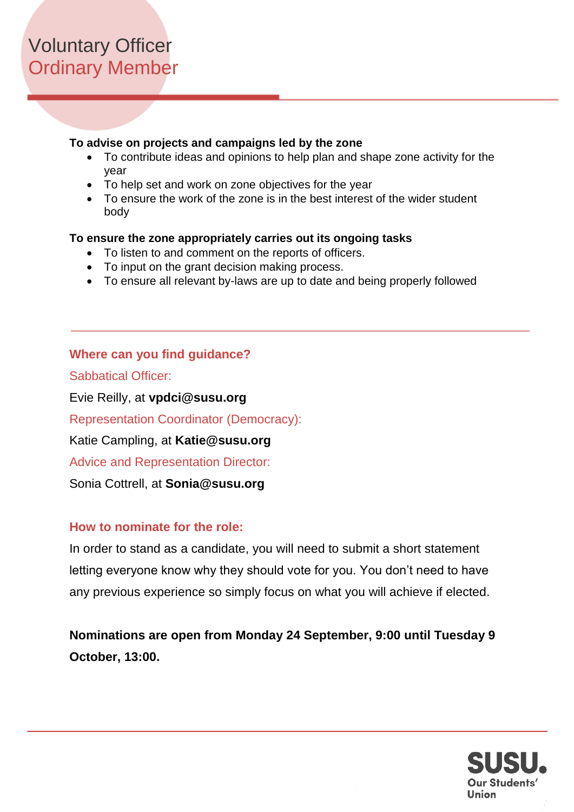#### **To advise on projects and campaigns led by the zone**

- To contribute ideas and opinions to help plan and shape zone activity for the year
- To help set and work on zone objectives for the year
- To ensure the work of the zone is in the best interest of the wider student body

#### **To ensure the zone appropriately carries out its ongoing tasks**

- To listen to and comment on the reports of officers.
- To input on the grant decision making process.
- To ensure all relevant by-laws are up to date and being properly followed

### **Where can you find guidance?**

Sabbatical Officer:

Evie Reilly, at **vpdci@susu.org**

Representation Coordinator (Democracy):

Katie Campling, at **Katie@susu.org**

Advice and Representation Director:

Sonia Cottrell, at **Sonia@susu.org**

### **How to nominate for the role:**

In order to stand as a candidate, you will need to submit a short statement letting everyone know why they should vote for you. You don't need to have any previous experience so simply focus on what you will achieve if elected.

**Nominations are open from Monday 24 September, 9:00 until Tuesday 9 October, 13:00.**